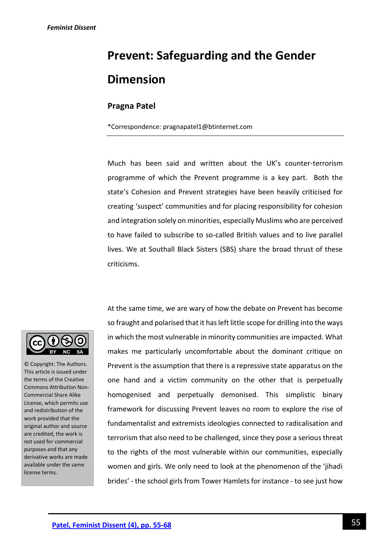# **Prevent: Safeguarding and the Gender Dimension**

# **Pragna Patel**

\*Correspondence: pragnapatel1@btinternet.com

Much has been said and written about the UK's counter-terrorism programme of which the Prevent programme is a key part. Both the state's Cohesion and Prevent strategies have been heavily criticised for creating 'suspect' communities and for placing responsibility for cohesion and integration solely on minorities, especially Muslims who are perceived to have failed to subscribe to so-called British values and to live parallel lives. We at Southall Black Sisters (SBS) share the broad thrust of these criticisms.



© Copyright: The Authors. This article is issued under the terms of the Creative Commons Attribution Non-Commercial Share Alike License, which permits use and redistribution of the work provided that the original author and source are credited, the work is not used for commercial purposes and that any derivative works are made available under the same license terms.

At the same time, we are wary of how the debate on Prevent has become so fraught and polarised that it has left little scope for drilling into the ways in which the most vulnerable in minority communities are impacted. What makes me particularly uncomfortable about the dominant critique on Prevent is the assumption that there is a repressive state apparatus on the one hand and a victim community on the other that is perpetually homogenised and perpetually demonised. This simplistic binary framework for discussing Prevent leaves no room to explore the rise of fundamentalist and extremists ideologies connected to radicalisation and terrorism that also need to be challenged, since they pose a serious threat to the rights of the most vulnerable within our communities, especially women and girls. We only need to look at the phenomenon of the 'jihadi brides' - the school girls from Tower Hamlets for instance - to see just how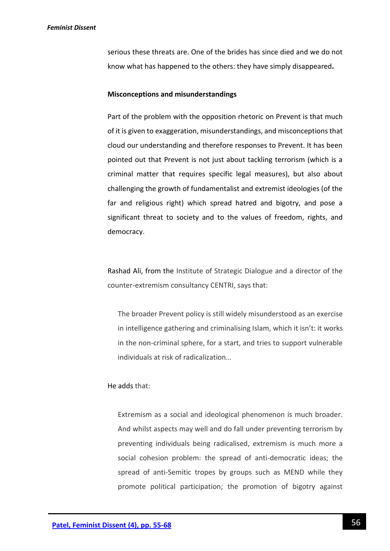serious these threats are. One of the brides has since died and we do not know what has happened to the others: they have simply disappeared*.*

## **Misconceptions and misunderstandings**

Part of the problem with the opposition rhetoric on Prevent is that much of it is given to exaggeration, misunderstandings, and misconceptions that cloud our understanding and therefore responses to Prevent. It has been pointed out that Prevent is not just about tackling terrorism (which is a criminal matter that requires specific legal measures), but also about challenging the growth of fundamentalist and extremist ideologies (of the far and religious right) which spread hatred and bigotry, and pose a significant threat to society and to the values of freedom, rights, and democracy.

Rashad Ali, from the Institute of Strategic Dialogue and a director of the counter-extremism consultancy CENTRI, says that:

The broader Prevent policy is still widely misunderstood as an exercise in intelligence gathering and criminalising Islam, which it isn't: it works in the non-criminal sphere, for a start, and tries to support vulnerable individuals at risk of radicalization…

# He adds that:

Extremism as a social and ideological phenomenon is much broader. And whilst aspects may well and do fall under preventing terrorism by preventing individuals being radicalised, extremism is much more a social cohesion problem: the spread of anti-democratic ideas; the spread of anti-Semitic tropes by groups such as MEND while they promote political participation; the promotion of bigotry against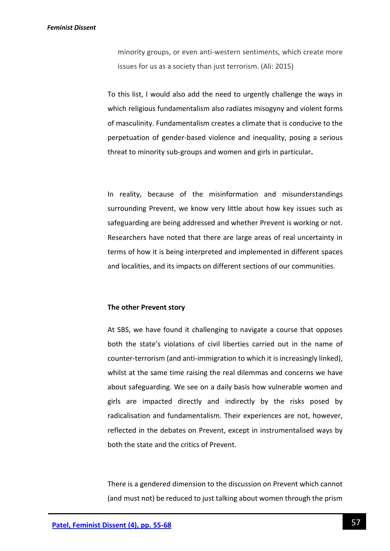minority groups, or even anti-western sentiments, which create more issues for us as a society than just terrorism. (Ali: 2015)

To this list, I would also add the need to urgently challenge the ways in which religious fundamentalism also radiates misogyny and violent forms of masculinity. Fundamentalism creates a climate that is conducive to the perpetuation of gender-based violence and inequality, posing a serious threat to minority sub-groups and women and girls in particular**.**

In reality, because of the misinformation and misunderstandings surrounding Prevent, we know very little about how key issues such as safeguarding are being addressed and whether Prevent is working or not. Researchers have noted that there are large areas of real uncertainty in terms of how it is being interpreted and implemented in different spaces and localities, and its impacts on different sections of our communities.

#### **The other Prevent story**

At SBS, we have found it challenging to navigate a course that opposes both the state's violations of civil liberties carried out in the name of counter-terrorism (and anti-immigration to which it is increasingly linked), whilst at the same time raising the real dilemmas and concerns we have about safeguarding. We see on a daily basis how vulnerable women and girls are impacted directly and indirectly by the risks posed by radicalisation and fundamentalism. Their experiences are not, however, reflected in the debates on Prevent, except in instrumentalised ways by both the state and the critics of Prevent.

There is a gendered dimension to the discussion on Prevent which cannot (and must not) be reduced to just talking about women through the prism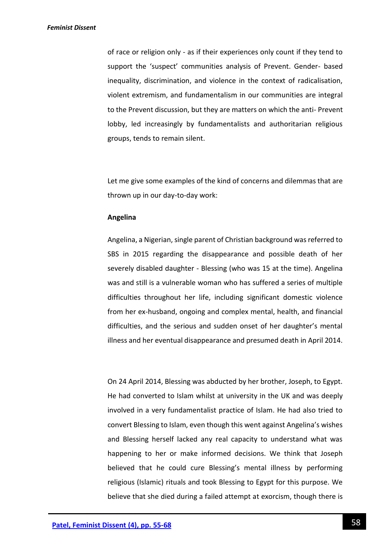of race or religion only - as if their experiences only count if they tend to support the 'suspect' communities analysis of Prevent. Gender- based inequality, discrimination, and violence in the context of radicalisation, violent extremism, and fundamentalism in our communities are integral to the Prevent discussion, but they are matters on which the anti- Prevent lobby, led increasingly by fundamentalists and authoritarian religious groups, tends to remain silent.

Let me give some examples of the kind of concerns and dilemmas that are thrown up in our day-to-day work:

## **Angelina**

Angelina, a Nigerian, single parent of Christian background was referred to SBS in 2015 regarding the disappearance and possible death of her severely disabled daughter - Blessing (who was 15 at the time). Angelina was and still is a vulnerable woman who has suffered a series of multiple difficulties throughout her life, including significant domestic violence from her ex-husband, ongoing and complex mental, health, and financial difficulties, and the serious and sudden onset of her daughter's mental illness and her eventual disappearance and presumed death in April 2014.

On 24 April 2014, Blessing was abducted by her brother, Joseph, to Egypt. He had converted to Islam whilst at university in the UK and was deeply involved in a very fundamentalist practice of Islam. He had also tried to convert Blessing to Islam, even though this went against Angelina's wishes and Blessing herself lacked any real capacity to understand what was happening to her or make informed decisions. We think that Joseph believed that he could cure Blessing's mental illness by performing religious (Islamic) rituals and took Blessing to Egypt for this purpose. We believe that she died during a failed attempt at exorcism, though there is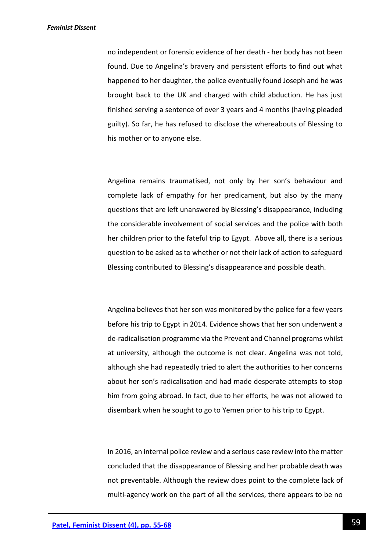no independent or forensic evidence of her death - her body has not been found. Due to Angelina's bravery and persistent efforts to find out what happened to her daughter, the police eventually found Joseph and he was brought back to the UK and charged with child abduction. He has just finished serving a sentence of over 3 years and 4 months (having pleaded guilty). So far, he has refused to disclose the whereabouts of Blessing to his mother or to anyone else.

Angelina remains traumatised, not only by her son's behaviour and complete lack of empathy for her predicament, but also by the many questions that are left unanswered by Blessing's disappearance, including the considerable involvement of social services and the police with both her children prior to the fateful trip to Egypt. Above all, there is a serious question to be asked as to whether or not their lack of action to safeguard Blessing contributed to Blessing's disappearance and possible death.

Angelina believes that her son was monitored by the police for a few years before his trip to Egypt in 2014. Evidence shows that her son underwent a de-radicalisation programme via the Prevent and Channel programs whilst at university, although the outcome is not clear. Angelina was not told, although she had repeatedly tried to alert the authorities to her concerns about her son's radicalisation and had made desperate attempts to stop him from going abroad. In fact, due to her efforts, he was not allowed to disembark when he sought to go to Yemen prior to his trip to Egypt.

In 2016, an internal police review and a serious case review into the matter concluded that the disappearance of Blessing and her probable death was not preventable. Although the review does point to the complete lack of multi-agency work on the part of all the services, there appears to be no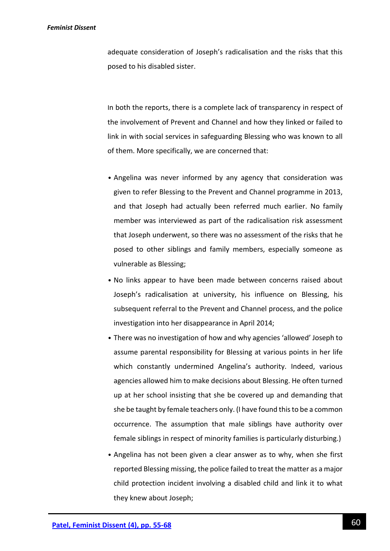adequate consideration of Joseph's radicalisation and the risks that this posed to his disabled sister.

In both the reports, there is a complete lack of transparency in respect of the involvement of Prevent and Channel and how they linked or failed to link in with social services in safeguarding Blessing who was known to all of them. More specifically, we are concerned that:

- Angelina was never informed by any agency that consideration was given to refer Blessing to the Prevent and Channel programme in 2013, and that Joseph had actually been referred much earlier. No family member was interviewed as part of the radicalisation risk assessment that Joseph underwent, so there was no assessment of the risks that he posed to other siblings and family members, especially someone as vulnerable as Blessing;
- No links appear to have been made between concerns raised about Joseph's radicalisation at university, his influence on Blessing, his subsequent referral to the Prevent and Channel process, and the police investigation into her disappearance in April 2014;
- There was no investigation of how and why agencies 'allowed' Joseph to assume parental responsibility for Blessing at various points in her life which constantly undermined Angelina's authority. Indeed, various agencies allowed him to make decisions about Blessing. He often turned up at her school insisting that she be covered up and demanding that she be taught by female teachers only. (I have found this to be a common occurrence. The assumption that male siblings have authority over female siblings in respect of minority families is particularly disturbing.)
- Angelina has not been given a clear answer as to why, when she first reported Blessing missing, the police failed to treat the matter as a major child protection incident involving a disabled child and link it to what they knew about Joseph;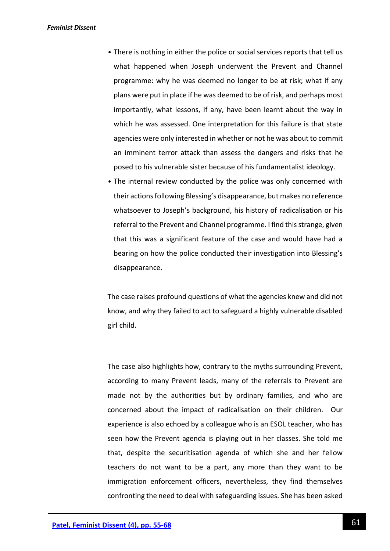- There is nothing in either the police or social services reports that tell us what happened when Joseph underwent the Prevent and Channel programme: why he was deemed no longer to be at risk; what if any plans were put in place if he was deemed to be of risk, and perhaps most importantly, what lessons, if any, have been learnt about the way in which he was assessed. One interpretation for this failure is that state agencies were only interested in whether or not he was about to commit an imminent terror attack than assess the dangers and risks that he posed to his vulnerable sister because of his fundamentalist ideology.
- The internal review conducted by the police was only concerned with their actions following Blessing's disappearance, but makes no reference whatsoever to Joseph's background, his history of radicalisation or his referral to the Prevent and Channel programme. I find this strange, given that this was a significant feature of the case and would have had a bearing on how the police conducted their investigation into Blessing's disappearance.

The case raises profound questions of what the agencies knew and did not know, and why they failed to act to safeguard a highly vulnerable disabled girl child.

The case also highlights how, contrary to the myths surrounding Prevent, according to many Prevent leads, many of the referrals to Prevent are made not by the authorities but by ordinary families, and who are concerned about the impact of radicalisation on their children. Our experience is also echoed by a colleague who is an ESOL teacher, who has seen how the Prevent agenda is playing out in her classes. She told me that, despite the securitisation agenda of which she and her fellow teachers do not want to be a part, any more than they want to be immigration enforcement officers, nevertheless, they find themselves confronting the need to deal with safeguarding issues. She has been asked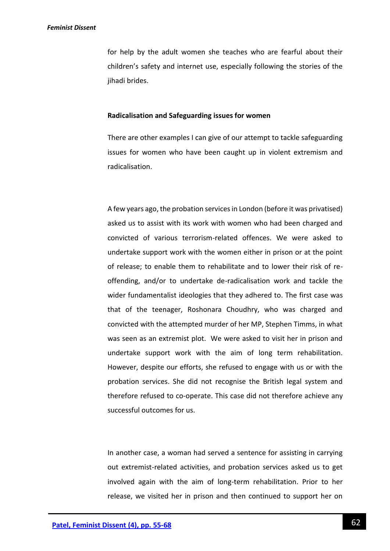for help by the adult women she teaches who are fearful about their children's safety and internet use, especially following the stories of the jihadi brides.

#### **Radicalisation and Safeguarding issues for women**

There are other examples I can give of our attempt to tackle safeguarding issues for women who have been caught up in violent extremism and radicalisation.

A few years ago, the probation services in London (before it was privatised) asked us to assist with its work with women who had been charged and convicted of various terrorism-related offences. We were asked to undertake support work with the women either in prison or at the point of release; to enable them to rehabilitate and to lower their risk of reoffending, and/or to undertake de-radicalisation work and tackle the wider fundamentalist ideologies that they adhered to. The first case was that of the teenager, Roshonara Choudhry, who was charged and convicted with the attempted murder of her MP, Stephen Timms, in what was seen as an extremist plot. We were asked to visit her in prison and undertake support work with the aim of long term rehabilitation. However, despite our efforts, she refused to engage with us or with the probation services. She did not recognise the British legal system and therefore refused to co-operate. This case did not therefore achieve any successful outcomes for us.

In another case, a woman had served a sentence for assisting in carrying out extremist-related activities, and probation services asked us to get involved again with the aim of long-term rehabilitation. Prior to her release, we visited her in prison and then continued to support her on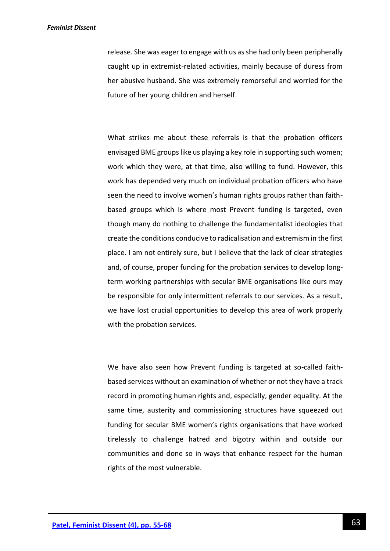release. She was eager to engage with us as she had only been peripherally caught up in extremist-related activities, mainly because of duress from her abusive husband. She was extremely remorseful and worried for the future of her young children and herself.

What strikes me about these referrals is that the probation officers envisaged BME groups like us playing a key role in supporting such women; work which they were, at that time, also willing to fund. However, this work has depended very much on individual probation officers who have seen the need to involve women's human rights groups rather than faithbased groups which is where most Prevent funding is targeted, even though many do nothing to challenge the fundamentalist ideologies that create the conditions conducive to radicalisation and extremism in the first place. I am not entirely sure, but I believe that the lack of clear strategies and, of course, proper funding for the probation services to develop longterm working partnerships with secular BME organisations like ours may be responsible for only intermittent referrals to our services. As a result, we have lost crucial opportunities to develop this area of work properly with the probation services.

We have also seen how Prevent funding is targeted at so-called faithbased services without an examination of whether or not they have a track record in promoting human rights and, especially, gender equality. At the same time, austerity and commissioning structures have squeezed out funding for secular BME women's rights organisations that have worked tirelessly to challenge hatred and bigotry within and outside our communities and done so in ways that enhance respect for the human rights of the most vulnerable.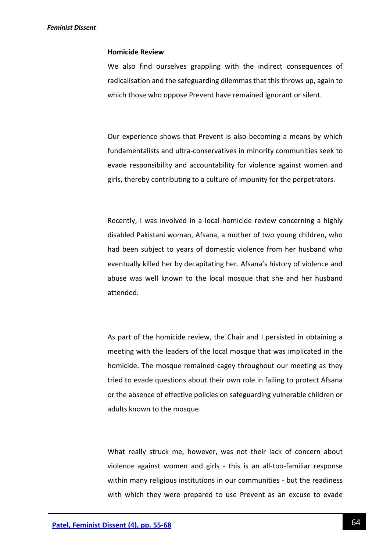# **Homicide Review**

We also find ourselves grappling with the indirect consequences of radicalisation and the safeguarding dilemmas that this throws up, again to which those who oppose Prevent have remained ignorant or silent.

Our experience shows that Prevent is also becoming a means by which fundamentalists and ultra-conservatives in minority communities seek to evade responsibility and accountability for violence against women and girls, thereby contributing to a culture of impunity for the perpetrators.

Recently, I was involved in a local homicide review concerning a highly disabled Pakistani woman, Afsana, a mother of two young children, who had been subject to years of domestic violence from her husband who eventually killed her by decapitating her. Afsana's history of violence and abuse was well known to the local mosque that she and her husband attended.

As part of the homicide review, the Chair and I persisted in obtaining a meeting with the leaders of the local mosque that was implicated in the homicide. The mosque remained cagey throughout our meeting as they tried to evade questions about their own role in failing to protect Afsana or the absence of effective policies on safeguarding vulnerable children or adults known to the mosque.

What really struck me, however, was not their lack of concern about violence against women and girls - this is an all-too-familiar response within many religious institutions in our communities - but the readiness with which they were prepared to use Prevent as an excuse to evade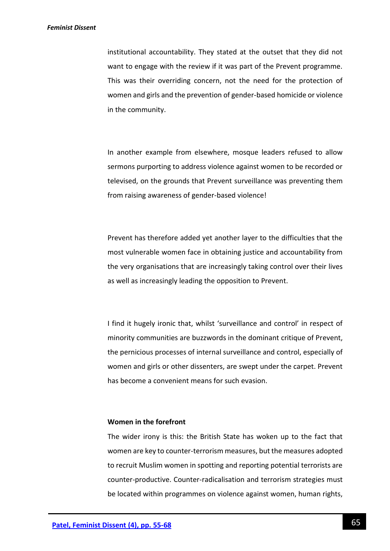institutional accountability. They stated at the outset that they did not want to engage with the review if it was part of the Prevent programme. This was their overriding concern, not the need for the protection of women and girls and the prevention of gender-based homicide or violence in the community.

In another example from elsewhere, mosque leaders refused to allow sermons purporting to address violence against women to be recorded or televised, on the grounds that Prevent surveillance was preventing them from raising awareness of gender-based violence!

Prevent has therefore added yet another layer to the difficulties that the most vulnerable women face in obtaining justice and accountability from the very organisations that are increasingly taking control over their lives as well as increasingly leading the opposition to Prevent.

I find it hugely ironic that, whilst 'surveillance and control' in respect of minority communities are buzzwords in the dominant critique of Prevent, the pernicious processes of internal surveillance and control, especially of women and girls or other dissenters, are swept under the carpet. Prevent has become a convenient means for such evasion.

## **Women in the forefront**

The wider irony is this: the British State has woken up to the fact that women are key to counter-terrorism measures, but the measures adopted to recruit Muslim women in spotting and reporting potential terrorists are counter-productive. Counter-radicalisation and terrorism strategies must be located within programmes on violence against women, human rights,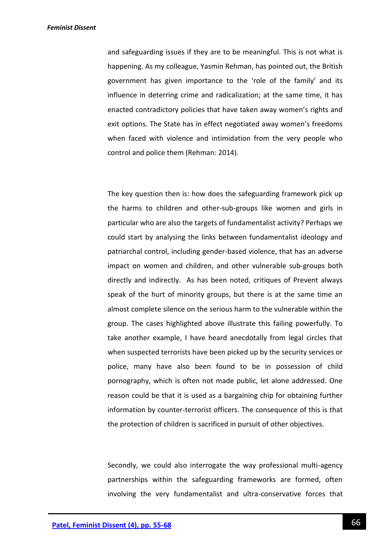and safeguarding issues if they are to be meaningful. This is not what is happening. As my colleague, Yasmin Rehman, has pointed out, the British government has given importance to the 'role of the family' and its influence in deterring crime and radicalization; at the same time, it has enacted contradictory policies that have taken away women's rights and exit options. The State has in effect negotiated away women's freedoms when faced with violence and intimidation from the very people who control and police them (Rehman: 2014).

The key question then is: how does the safeguarding framework pick up the harms to children and other-sub-groups like women and girls in particular who are also the targets of fundamentalist activity? Perhaps we could start by analysing the links between fundamentalist ideology and patriarchal control, including gender-based violence, that has an adverse impact on women and children, and other vulnerable sub-groups both directly and indirectly. As has been noted, critiques of Prevent always speak of the hurt of minority groups, but there is at the same time an almost complete silence on the serious harm to the vulnerable within the group. The cases highlighted above illustrate this failing powerfully. To take another example, I have heard anecdotally from legal circles that when suspected terrorists have been picked up by the security services or police, many have also been found to be in possession of child pornography, which is often not made public, let alone addressed. One reason could be that it is used as a bargaining chip for obtaining further information by counter-terrorist officers. The consequence of this is that the protection of children is sacrificed in pursuit of other objectives.

Secondly, we could also interrogate the way professional multi-agency partnerships within the safeguarding frameworks are formed, often involving the very fundamentalist and ultra-conservative forces that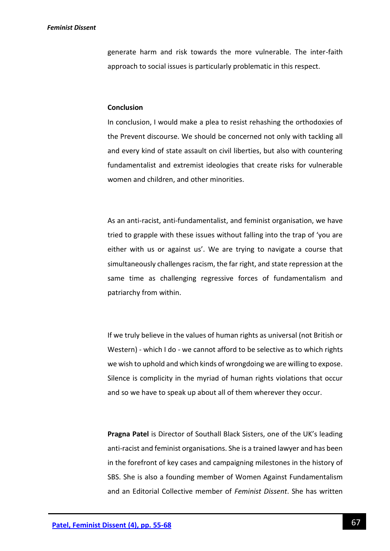generate harm and risk towards the more vulnerable. The inter-faith approach to social issues is particularly problematic in this respect.

# **Conclusion**

In conclusion, I would make a plea to resist rehashing the orthodoxies of the Prevent discourse. We should be concerned not only with tackling all and every kind of state assault on civil liberties, but also with countering fundamentalist and extremist ideologies that create risks for vulnerable women and children, and other minorities.

As an anti-racist, anti-fundamentalist, and feminist organisation, we have tried to grapple with these issues without falling into the trap of 'you are either with us or against us'. We are trying to navigate a course that simultaneously challenges racism, the far right, and state repression at the same time as challenging regressive forces of fundamentalism and patriarchy from within.

If we truly believe in the values of human rights as universal (not British or Western) - which I do - we cannot afford to be selective as to which rights we wish to uphold and which kinds of wrongdoing we are willing to expose. Silence is complicity in the myriad of human rights violations that occur and so we have to speak up about all of them wherever they occur.

**Pragna Patel** is Director of Southall Black Sisters, one of the UK's leading anti-racist and feminist organisations. She is a trained lawyer and has been in the forefront of key cases and campaigning milestones in the history of SBS. She is also a founding member of Women Against Fundamentalism and an Editorial Collective member of *Feminist Dissent*. She has written